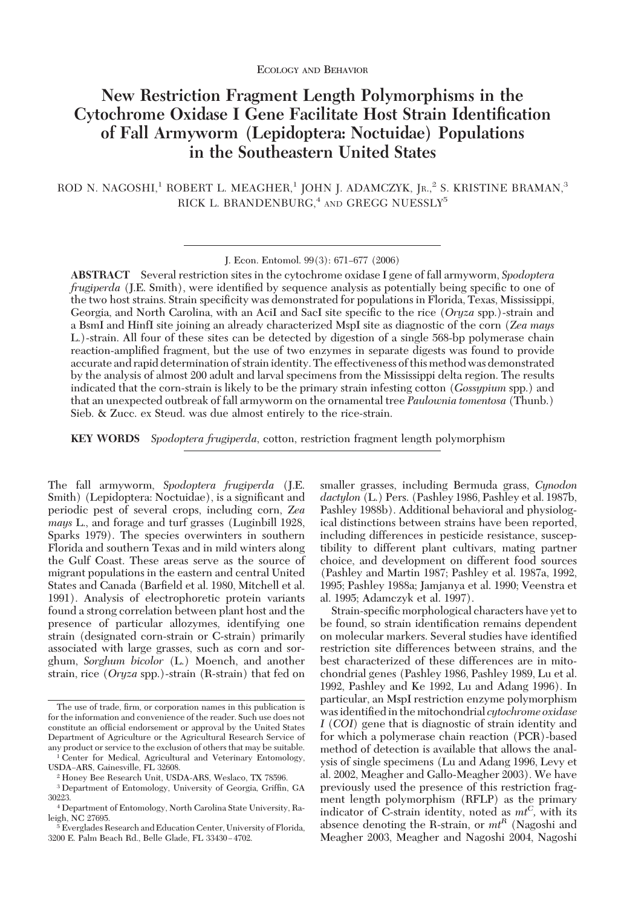# **New Restriction Fragment Length Polymorphisms in the Cytochrome Oxidase I Gene Facilitate Host Strain Identification of Fall Armyworm (Lepidoptera: Noctuidae) Populations in the Southeastern United States**

ROD N. NAGOSHI,<sup>1</sup> ROBERT L. MEAGHER,<sup>1</sup> JOHN J. ADAMCZYK, JR.,<sup>2</sup> S. KRISTINE BRAMAN,<sup>3</sup> RICK L. BRANDENBURG,<sup>4</sup> AND GREGG NUESSLY<sup>5</sup>

**ABSTRACT** Several restriction sites in the cytochrome oxidase I gene of fall armyworm, *Spodoptera frugiperda* (J.E. Smith), were identified by sequence analysis as potentially being specific to one of the two host strains. Strain specificity was demonstrated for populations in Florida, Texas, Mississippi, Georgia, and North Carolina, with an AciI and SacI site specific to the rice (*Oryza* spp.)-strain and a BsmI and HinfI site joining an already characterized MspI site as diagnostic of the corn (*Zea mays* L.)-strain. All four of these sites can be detected by digestion of a single 568-bp polymerase chain reaction-amplified fragment, but the use of two enzymes in separate digests was found to provide accurate and rapid determination of strainidentity. The effectiveness of this method was demonstrated by the analysis of almost 200 adult and larval specimens from the Mississippi delta region. The results indicated that the corn-strain is likely to be the primary strain infesting cotton (*Gossypium* spp.) and that an unexpected outbreak of fall armyworm on the ornamental tree *Paulownia tomentosa* (Thunb.) Sieb. & Zucc. ex Steud. was due almost entirely to the rice-strain.

**KEY WORDS** *Spodoptera frugiperda*, cotton, restriction fragment length polymorphism

The fall armyworm, *Spodoptera frugiperda* (J.E. Smith) (Lepidoptera: Noctuidae), is a significant and periodic pest of several crops, including corn, *Zea mays* L., and forage and turf grasses (Luginbill 1928, Sparks 1979). The species overwinters in southern Florida and southern Texas and in mild winters along the Gulf Coast. These areas serve as the source of migrant populations in the eastern and central United States and Canada (Barfield et al. 1980, Mitchell et al. 1991). Analysis of electrophoretic protein variants found a strong correlation between plant host and the presence of particular allozymes, identifying one strain (designated corn-strain or C-strain) primarily associated with large grasses, such as corn and sorghum, *Sorghum bicolor* (L.) Moench, and another strain, rice (*Oryza* spp.)-strain (R-strain) that fed on

smaller grasses, including Bermuda grass, *Cynodon dactylon* (L.) Pers. (Pashley 1986, Pashley et al. 1987b, Pashley 1988b). Additional behavioral and physiological distinctions between strains have been reported, including differences in pesticide resistance, susceptibility to different plant cultivars, mating partner choice, and development on different food sources (Pashley and Martin 1987; Pashley et al. 1987a, 1992, 1995; Pashley 1988a; Jamjanya et al. 1990; Veenstra et al. 1995; Adamczyk et al. 1997).

Strain-specific morphological characters have yet to be found, so strain identification remains dependent on molecular markers. Several studies have identified restriction site differences between strains, and the best characterized of these differences are in mitochondrial genes (Pashley 1986, Pashley 1989, Lu et al. 1992, Pashley and Ke 1992, Lu and Adang 1996). In particular, an MspI restriction enzyme polymorphism was identified in the mitochondrial *cytochrome oxidase I* (*COI*) gene that is diagnostic of strain identity and for which a polymerase chain reaction (PCR)-based method of detection is available that allows the analysis of single specimens (Lu and Adang 1996, Levy et al. 2002, Meagher and Gallo-Meagher 2003). We have previously used the presence of this restriction fragment length polymorphism (RFLP) as the primary indicator of C-strain identity, noted as  $m t^C$ , with its absence denoting the R-strain, or  $m<sup>R</sup>$  (Nagoshi and Meagher 2003, Meagher and Nagoshi 2004, Nagoshi

J. Econ. Entomol. 99(3): 671-677 (2006)

The use of trade, firm, or corporation names in this publication is for the information and convenience of the reader. Such use does not constitute an official endorsement or approval by the United States Department of Agriculture or the Agricultural Research Service of any product or service to the exclusion of others that may be suitable.

<sup>&</sup>lt;sup>1</sup> Center for Medical, Agricultural and Veterinary Entomology, USDA-ARS, Gainesville, FL 32608.

<sup>2</sup> Honey Bee Research Unit, USDA-ARS, Weslaco, TX 78596.

<sup>&</sup>lt;sup>3</sup> Department of Entomology, University of Georgia, Griffin, GA 30223.

<sup>4</sup> Department of Entomology, North Carolina State University, Raleigh, NC 27695.

 $\frac{1}{2}$  Everglades Research and Education Center, University of Florida, 3200 E. Palm Beach Rd., Belle Glade, FL 33430-4702.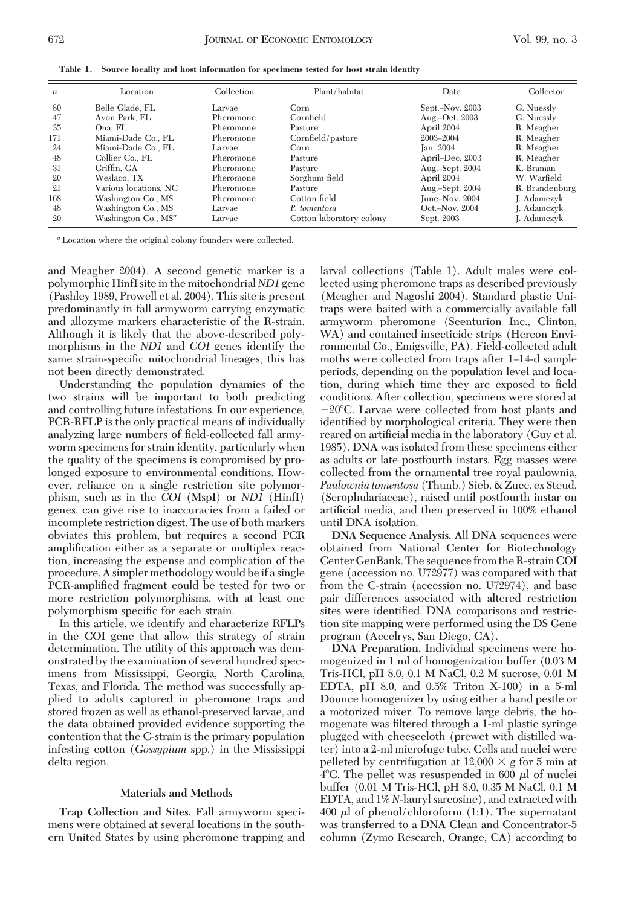| $\boldsymbol{n}$ | Location                        | Collection | Plant/habitat            | Date            | Collector      |
|------------------|---------------------------------|------------|--------------------------|-----------------|----------------|
| 80               | Belle Glade, FL                 | Larvae     | Corn                     | Sept.-Nov. 2003 | G. Nuessly     |
| 47               | Avon Park. FL                   | Pheromone  | Cornfield                | Aug.-Oct. 2003  | G. Nuessly     |
| -35              | Ona. FL                         | Pheromone  | Pasture                  | April 2004      | R. Meagher     |
| 171              | Miami-Dade Co., FL              | Pheromone  | Cornfield/pasture        | 2003-2004       | R. Meagher     |
| 24               | Miami-Dade Co., FL              | Larvae     | Corn.                    | Jan. 2004       | R. Meagher     |
| 48               | Collier Co., FL                 | Pheromone  | Pasture                  | April–Dec. 2003 | R. Meagher     |
| 31               | Griffin. GA                     | Pheromone  | Pasture                  | Aug.-Sept. 2004 | K. Braman      |
| 20               | Weslaco. TX                     | Pheromone  | Sorghum field            | April 2004      | W. Warfield    |
| 21               | Various locations. NC           | Pheromone  | Pasture                  | Aug.-Sept. 2004 | R. Brandenburg |
| 168              | Washington Co., MS              | Pheromone  | Cotton field             | June-Nov. 2004  | J. Adamczyk    |
| 48               | Washington Co., MS              | Larvae     | P. tomentosa             | Oct.-Nov. 2004  | J. Adamezyk    |
| 20               | Washington Co., MS <sup>a</sup> | Larvae     | Cotton laboratory colony | Sept. 2003      | J. Adamezyk    |

**Table 1. Source locality and host information for specimens tested for host strain identity**

*<sup>a</sup>* Location where the original colony founders were collected.

and Meagher 2004). A second genetic marker is a polymorphic HinfI site in the mitochondrial *ND1* gene (Pashley 1989, Prowell et al. 2004). This site is present predominantly in fall armyworm carrying enzymatic and allozyme markers characteristic of the R-strain. Although it is likely that the above-described polymorphisms in the *ND1* and *COI* genes identify the same strain-specific mitochondrial lineages, this has not been directly demonstrated.

Understanding the population dynamics of the two strains will be important to both predicting and controlling future infestations. In our experience, PCR-RFLP is the only practical means of individually analyzing large numbers of field-collected fall armyworm specimens for strain identity, particularly when the quality of the specimens is compromised by prolonged exposure to environmental conditions. However, reliance on a single restriction site polymorphism, such as in the *COI* (MspI) or *ND1* (HinfI) genes, can give rise to inaccuracies from a failed or incomplete restriction digest. The use of both markers obviates this problem, but requires a second PCR amplification either as a separate or multiplex reaction, increasing the expense and complication of the procedure. A simpler methodology would be if a single PCR-amplified fragment could be tested for two or more restriction polymorphisms, with at least one polymorphism specific for each strain.

In this article, we identify and characterize RFLPs in the COI gene that allow this strategy of strain determination. The utility of this approach was demonstrated by the examination of several hundred specimens from Mississippi, Georgia, North Carolina, Texas, and Florida. The method was successfully applied to adults captured in pheromone traps and stored frozen as well as ethanol-preserved larvae, and the data obtained provided evidence supporting the contention that the C-strain is the primary population infesting cotton (*Gossypium* spp.) in the Mississippi delta region.

### **Materials and Methods**

**Trap Collection and Sites.** Fall armyworm specimens were obtained at several locations in the southern United States by using pheromone trapping and larval collections (Table 1). Adult males were collected using pheromone traps as described previously (Meagher and Nagoshi 2004). Standard plastic Unitraps were baited with a commercially available fall armyworm pheromone (Scenturion Inc., Clinton, WA) and contained insecticide strips (Hercon Environmental Co., Emigsville, PA). Field-collected adult moths were collected from traps after 1–14-d sample periods, depending on the population level and location, during which time they are exposed to field conditions. After collection, specimens were stored at  $-20^{\circ}$ C. Larvae were collected from host plants and identified by morphological criteria. They were then reared on artificial media in the laboratory (Guy et al. 1985). DNA was isolated from these specimens either as adults or late postfourth instars. Egg masses were collected from the ornamental tree royal paulownia, *Paulownia tomentosa* (Thunb.) Sieb. & Zucc. ex Steud. (Scrophulariaceae), raised until postfourth instar on artificial media, and then preserved in 100% ethanol until DNA isolation.

**DNA Sequence Analysis.** All DNA sequences were obtained from National Center for Biotechnology Center GenBank. The sequence from the R-strain COI gene (accession no. U72977) was compared with that from the C-strain (accession no. U72974), and base pair differences associated with altered restriction sites were identified. DNA comparisons and restriction site mapping were performed using the DS Gene program (Accelrys, San Diego, CA).

**DNA Preparation.** Individual specimens were homogenized in 1 ml of homogenization buffer (0.03 M Tris-HCl, pH 8.0, 0.1 M NaCl, 0.2 M sucrose, 0.01 M EDTA, pH 8.0, and 0.5% Triton X-100) in a 5-ml Dounce homogenizer by using either a hand pestle or a motorized mixer. To remove large debris, the homogenate was filtered through a 1-ml plastic syringe plugged with cheesecloth (prewet with distilled water) into a 2-ml microfuge tube. Cells and nuclei were pelleted by centrifugation at  $12,000 \times g$  for 5 min at  $4^{\circ}$ C. The pellet was resuspended in 600  $\mu$ l of nuclei buffer (0.01 M Tris-HCl, pH 8.0, 0.35 M NaCl, 0.1 M EDTA, and 1% *N*-lauryl sarcosine), and extracted with 400  $\mu$ l of phenol/chloroform (1:1). The supernatant was transferred to a DNA Clean and Concentrator-5 column (Zymo Research, Orange, CA) according to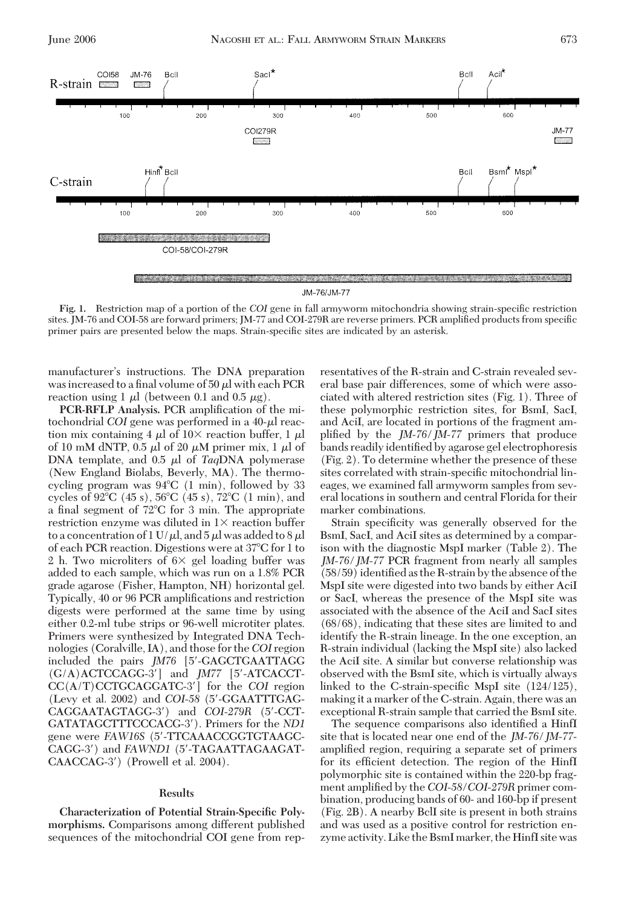

**Fig. 1.** Restriction map of a portion of the *COI* gene in fall armyworm mitochondria showing strain-specific restriction sites. JM-76 and COI-58 are forward primers; JM-77 and COI-279R are reverse primers. PCR amplified products from specific primer pairs are presented below the maps. Strain-specific sites are indicated by an asterisk.

manufacturer's instructions. The DNA preparation was increased to a final volume of  $50 \mu l$  with each PCR reaction using 1  $\mu$ l (between 0.1 and 0.5  $\mu$ g).

**PCR-RFLP Analysis.** PCR amplification of the mitochondrial *COI* gene was performed in a 40-µ reaction mix containing 4  $\mu$ l of 10× reaction buffer, 1  $\mu$ l of 10 mM dNTP, 0.5  $\mu$ l of 20  $\mu$ M primer mix, 1  $\mu$ l of DNA template, and  $0.5 \mu l$  of *Taq*DNA polymerase (New England Biolabs, Beverly, MA). The thermocycling program was 94°C (1 min), followed by 33 cycles of 92°C (45 s), 56°C (45 s), 72°C (1 min), and a final segment of 72°C for 3 min. The appropriate restriction enzyme was diluted in  $1\times$  reaction buffer to a concentration of 1 U/ $\mu$ l, and 5  $\mu$ l was added to 8  $\mu$ l of each PCR reaction. Digestions were at 37°C for 1 to 2 h. Two microliters of  $6 \times$  gel loading buffer was added to each sample, which was run on a 1.8% PCR grade agarose (Fisher, Hampton, NH) horizontal gel. Typically, 40 or 96 PCR amplifications and restriction digests were performed at the same time by using either 0.2-ml tube strips or 96-well microtiter plates. Primers were synthesized by Integrated DNA Technologies (Coralville, IA), and those for the *COI* region included the pairs *JM76* [5-GAGCTGAATTAGG (G/A)ACTCCAGG-3] and *JM77* [5-ATCACCT-CC(A/T)CCTGCAGGATC-3] for the *COI* region (Levy et al. 2002) and *COI-58* (5-GGAATTTGAG-CAGGAATAGTAGG-3) and *COI-279R* (5-CCT-GATATAGCTTTCCCACG-3). Primers for the *ND1* gene were *FAW16S* (5-TTCAAACCGGTGTAAGC-CAGG-3) and *FAWND1* (5-TAGAATTAGAAGAT-CAACCAG-3) (Prowell et al. 2004).

### **Results**

**Characterization of Potential Strain-Specific Polymorphisms.** Comparisons among different published sequences of the mitochondrial COI gene from representatives of the R-strain and C-strain revealed several base pair differences, some of which were associated with altered restriction sites (Fig. 1). Three of these polymorphic restriction sites, for BsmI, SacI, and AciI, are located in portions of the fragment amplified by the *JM-76/JM-77* primers that produce bands readily identified by agarose gel electrophoresis (Fig. 2). To determine whether the presence of these sites correlated with strain-specific mitochondrial lineages, we examined fall armyworm samples from several locations in southern and central Florida for their marker combinations.

Strain specificity was generally observed for the BsmI, SacI, and AciI sites as determined by a comparison with the diagnostic MspI marker (Table 2). The *JM-76/JM-77* PCR fragment from nearly all samples  $(58/59)$  identified as the R-strain by the absence of the MspI site were digested into two bands by either AciI or SacI, whereas the presence of the MspI site was associated with the absence of the AciI and SacI sites (68/68), indicating that these sites are limited to and identify the R-strain lineage. In the one exception, an R-strain individual (lacking the MspI site) also lacked the AciI site. A similar but converse relationship was observed with the BsmI site, which is virtually always linked to the C-strain-specific MspI site  $(124/125)$ , making it a marker of the C-strain. Again, there was an exceptional R-strain sample that carried the BsmI site.

The sequence comparisons also identified a HinfI site that is located near one end of the *JM-76/JM-77* amplified region, requiring a separate set of primers for its efficient detection. The region of the HinfI polymorphic site is contained within the 220-bp fragment amplified by the *COI-58/COI-279R* primer combination, producing bands of 60- and 160-bp if present (Fig. 2B). A nearby BclI site is present in both strains and was used as a positive control for restriction enzyme activity. Like the BsmI marker, the HinfI site was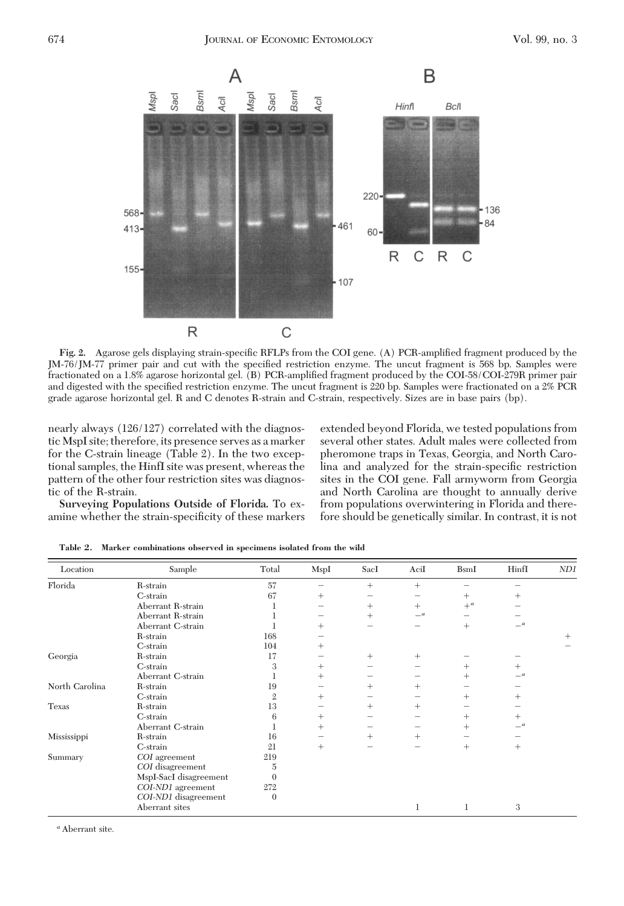

Fig. 2. Agarose gels displaying strain-specific RFLPs from the COI gene. (A) PCR-amplified fragment produced by the JM-76/JM-77 primer pair and cut with the specified restriction enzyme. The uncut fragment is 568 bp. Samples were fractionated on a 1.8% agarose horizontal gel. (B) PCR-amplified fragment produced by the COI-58/COI-279R primer pair and digested with the specified restriction enzyme. The uncut fragment is 220 bp. Samples were fractionated on a 2% PCR grade agarose horizontal gel. R and C denotes R-strain and C-strain, respectively. Sizes are in base pairs (bp).

nearly always (126/127) correlated with the diagnostic MspI site; therefore, its presence serves as a marker for the C-strain lineage (Table 2). In the two exceptional samples, the HinfI site was present, whereas the pattern of the other four restriction sites was diagnostic of the R-strain.

**Surveying Populations Outside of Florida.** To examine whether the strain-specificity of these markers extended beyond Florida, we tested populations from several other states. Adult males were collected from pheromone traps in Texas, Georgia, and North Carolina and analyzed for the strain-specific restriction sites in the COI gene. Fall armyworm from Georgia and North Carolina are thought to annually derive from populations overwintering in Florida and therefore should be genetically similar. In contrast, it is not

| Location       | Sample                 | Total          | MspI   | SacI   | AciI                  | <b>BsmI</b> | HinfI                 | ND1    |
|----------------|------------------------|----------------|--------|--------|-----------------------|-------------|-----------------------|--------|
| Florida        | R-strain               | 57             |        | $^{+}$ | $^{+}$                |             |                       |        |
|                | C-strain               | 67             | $^{+}$ |        |                       | $^{+}$      | $^+$                  |        |
|                | Aberrant R-strain      |                |        | $^{+}$ | $^{+}$                | $+^a$       |                       |        |
|                | Aberrant R-strain      |                |        | $^{+}$ | $\equiv$ <sup>a</sup> |             |                       |        |
|                | Aberrant C-strain      |                | $^{+}$ |        |                       | $^{+}$      | $\equiv$ <sup>a</sup> |        |
|                | R-strain               | 168            |        |        |                       |             |                       | $^{+}$ |
|                | C-strain               | 104            | $^+$   |        |                       |             |                       |        |
| Georgia        | R-strain               | 17             |        | $^{+}$ | $^{+}$                |             |                       |        |
|                | C-strain               | 3              | $^{+}$ |        |                       | $^{+}$      | $^{+}$                |        |
|                | Aberrant C-strain      |                | $^{+}$ |        |                       | $^{+}$      | $\equiv$ <sup>a</sup> |        |
| North Carolina | R-strain               | 19             |        | $^{+}$ | $^{+}$                |             |                       |        |
|                | C-strain               | $\mathfrak{2}$ | $^{+}$ |        |                       | $^{+}$      | $^{+}$                |        |
| Texas          | R-strain               | 13             |        | $^{+}$ | $^{+}$                |             |                       |        |
|                | C-strain               | 6              | $^{+}$ |        |                       | $^{+}$      | $^{+}$                |        |
|                | Aberrant C-strain      |                | $^{+}$ |        |                       | $^{+}$      | $-a$                  |        |
| Mississippi    | R-strain               | 16             |        | $^{+}$ | $^{+}$                |             |                       |        |
|                | C-strain               | 21             | $^{+}$ |        | -                     | $^{+}$      | $^{+}$                |        |
| Summary        | COI agreement          | 219            |        |        |                       |             |                       |        |
|                | COI disagreement       | 5              |        |        |                       |             |                       |        |
|                | MspI-SacI disagreement | $\Omega$       |        |        |                       |             |                       |        |
|                | COI-ND1 agreement      | 272            |        |        |                       |             |                       |        |
|                | COI-ND1 disagreement   | $\Omega$       |        |        |                       |             |                       |        |
|                | Aberrant sites         |                |        |        |                       |             | 3                     |        |

**Table 2. Marker combinations observed in specimens isolated from the wild**

*<sup>a</sup>* Aberrant site.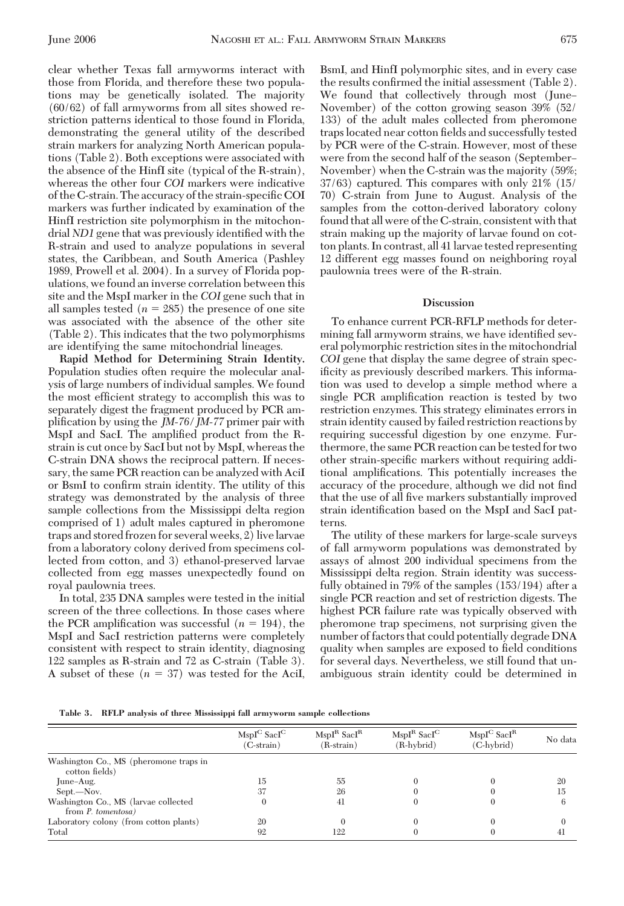clear whether Texas fall armyworms interact with those from Florida, and therefore these two populations may be genetically isolated. The majority (60/62) of fall armyworms from all sites showed restriction patterns identical to those found in Florida, demonstrating the general utility of the described strain markers for analyzing North American populations (Table 2). Both exceptions were associated with the absence of the HinfI site (typical of the R-strain), whereas the other four *COI* markers were indicative of the C-strain. The accuracy of the strain-specific COI markers was further indicated by examination of the HinfI restriction site polymorphism in the mitochondrial *ND1* gene that was previously identified with the R-strain and used to analyze populations in several states, the Caribbean, and South America (Pashley 1989, Prowell et al. 2004). In a survey of Florida populations, we found an inverse correlation between this site and the MspI marker in the *COI* gene such that in all samples tested  $(n = 285)$  the presence of one site was associated with the absence of the other site (Table 2). This indicates that the two polymorphisms are identifying the same mitochondrial lineages.

**Rapid Method for Determining Strain Identity.** Population studies often require the molecular analysis of large numbers of individual samples. We found the most efficient strategy to accomplish this was to separately digest the fragment produced by PCR amplification by using the *JM-76/JM-77* primer pair with MspI and SacI. The amplified product from the Rstrain is cut once by SacI but not by MspI, whereas the C-strain DNA shows the reciprocal pattern. If necessary, the same PCR reaction can be analyzed with AciI or BsmI to confirm strain identity. The utility of this strategy was demonstrated by the analysis of three sample collections from the Mississippi delta region comprised of 1) adult males captured in pheromone traps and stored frozen for several weeks, 2) live larvae from a laboratory colony derived from specimens collected from cotton, and 3) ethanol-preserved larvae collected from egg masses unexpectedly found on royal paulownia trees.

In total, 235 DNA samples were tested in the initial screen of the three collections. In those cases where the PCR amplification was successful  $(n = 194)$ , the MspI and SacI restriction patterns were completely consistent with respect to strain identity, diagnosing 122 samples as R-strain and 72 as C-strain (Table 3). A subset of these  $(n = 37)$  was tested for the AciI,

BsmI, and HinfI polymorphic sites, and in every case the results confirmed the initial assessment (Table 2). We found that collectively through most (June– November) of the cotton growing season 39% (52/ 133) of the adult males collected from pheromone traps located near cotton fields and successfully tested by PCR were of the C-strain. However, most of these were from the second half of the season (September– November) when the C-strain was the majority (59%; 37/63) captured. This compares with only 21% (15/ 70) C-strain from June to August. Analysis of the samples from the cotton-derived laboratory colony found that all were of the C-strain, consistent with that strain making up the majority of larvae found on cotton plants. In contrast, all 41 larvae tested representing 12 different egg masses found on neighboring royal paulownia trees were of the R-strain.

## **Discussion**

To enhance current PCR-RFLP methods for determining fall armyworm strains, we have identified several polymorphic restriction sites in the mitochondrial *COI* gene that display the same degree of strain specificity as previously described markers. This information was used to develop a simple method where a single PCR amplification reaction is tested by two restriction enzymes. This strategy eliminates errors in strain identity caused by failed restriction reactions by requiring successful digestion by one enzyme. Furthermore, the same PCR reaction can be tested for two other strain-specific markers without requiring additional amplifications. This potentially increases the accuracy of the procedure, although we did not find that the use of all five markers substantially improved strain identification based on the MspI and SacI patterns.

The utility of these markers for large-scale surveys of fall armyworm populations was demonstrated by assays of almost 200 individual specimens from the Mississippi delta region. Strain identity was successfully obtained in 79% of the samples (153/194) after a single PCR reaction and set of restriction digests. The highest PCR failure rate was typically observed with pheromone trap specimens, not surprising given the number of factors that could potentially degrade DNA quality when samples are exposed to field conditions for several days. Nevertheless, we still found that unambiguous strain identity could be determined in

**Table 3. RFLP analysis of three Mississippi fall armyworm sample collections**

|                                                            | $MspI^C$ SacI <sup>C</sup><br>(C-strain) | $MspI^R$ Sac $I^R$<br>(R-strain) | $MspIR$ SacI <sup>C</sup><br>(R-hybrid) | $MspI^C$ Sac $I^R$<br>$(C-hvbrid)$ | No data |
|------------------------------------------------------------|------------------------------------------|----------------------------------|-----------------------------------------|------------------------------------|---------|
| Washington Co., MS (pheromone traps in<br>cotton fields)   |                                          |                                  |                                         |                                    |         |
| June-Aug.                                                  | 15                                       | 55                               |                                         |                                    | 20      |
| Sept.—Nov.                                                 | 37                                       | 26                               |                                         |                                    | 15      |
| Washington Co., MS (larvae collected<br>from P. tomentosa) |                                          | 41                               |                                         |                                    |         |
| Laboratory colony (from cotton plants)                     | 20                                       |                                  |                                         |                                    |         |
| Total                                                      | 92                                       | 122                              |                                         |                                    |         |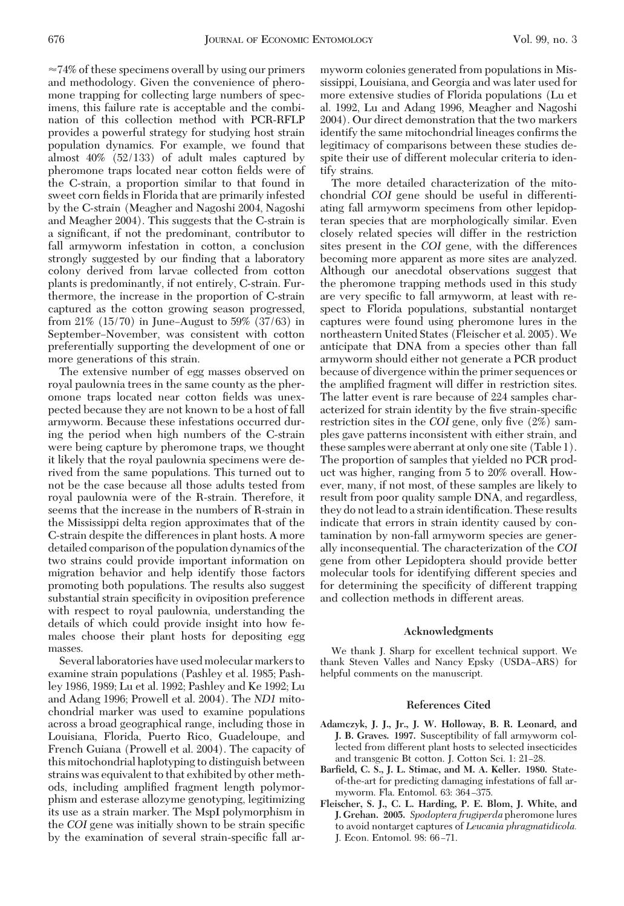$\approx$  74% of these specimens overall by using our primers and methodology. Given the convenience of pheromone trapping for collecting large numbers of specimens, this failure rate is acceptable and the combination of this collection method with PCR-RFLP provides a powerful strategy for studying host strain population dynamics. For example, we found that almost 40% (52/133) of adult males captured by pheromone traps located near cotton fields were of the C-strain, a proportion similar to that found in sweet corn fields in Florida that are primarily infested by the C-strain (Meagher and Nagoshi 2004, Nagoshi and Meagher 2004). This suggests that the C-strain is a significant, if not the predominant, contributor to fall armyworm infestation in cotton, a conclusion strongly suggested by our finding that a laboratory colony derived from larvae collected from cotton plants is predominantly, if not entirely, C-strain. Furthermore, the increase in the proportion of C-strain captured as the cotton growing season progressed, from  $21\%$  (15/70) in June–August to 59% (37/63) in September–November, was consistent with cotton preferentially supporting the development of one or more generations of this strain.

The extensive number of egg masses observed on royal paulownia trees in the same county as the pheromone traps located near cotton fields was unexpected because they are not known to be a host of fall armyworm. Because these infestations occurred during the period when high numbers of the C-strain were being capture by pheromone traps, we thought it likely that the royal paulownia specimens were derived from the same populations. This turned out to not be the case because all those adults tested from royal paulownia were of the R-strain. Therefore, it seems that the increase in the numbers of R-strain in the Mississippi delta region approximates that of the C-strain despite the differences in plant hosts. A more detailed comparison of the population dynamics of the two strains could provide important information on migration behavior and help identify those factors promoting both populations. The results also suggest substantial strain specificity in oviposition preference with respect to royal paulownia, understanding the details of which could provide insight into how females choose their plant hosts for depositing egg masses.

Several laboratories have used molecular markers to examine strain populations (Pashley et al. 1985; Pashley 1986, 1989; Lu et al. 1992; Pashley and Ke 1992; Lu and Adang 1996; Prowell et al. 2004). The *ND1* mitochondrial marker was used to examine populations across a broad geographical range, including those in Louisiana, Florida, Puerto Rico, Guadeloupe, and French Guiana (Prowell et al. 2004). The capacity of this mitochondrial haplotyping to distinguish between strains was equivalent to that exhibited by other methods, including amplified fragment length polymorphism and esterase allozyme genotyping, legitimizing its use as a strain marker. The MspI polymorphism in the *COI* gene was initially shown to be strain specific by the examination of several strain-specific fall armyworm colonies generated from populations in Mississippi, Louisiana, and Georgia and was later used for more extensive studies of Florida populations (Lu et al. 1992, Lu and Adang 1996, Meagher and Nagoshi 2004). Our direct demonstration that the two markers identify the same mitochondrial lineages confirms the legitimacy of comparisons between these studies despite their use of different molecular criteria to identify strains.

The more detailed characterization of the mitochondrial *COI* gene should be useful in differentiating fall armyworm specimens from other lepidopteran species that are morphologically similar. Even closely related species will differ in the restriction sites present in the *COI* gene, with the differences becoming more apparent as more sites are analyzed. Although our anecdotal observations suggest that the pheromone trapping methods used in this study are very specific to fall armyworm, at least with respect to Florida populations, substantial nontarget captures were found using pheromone lures in the northeastern United States (Fleischer et al. 2005). We anticipate that DNA from a species other than fall armyworm should either not generate a PCR product because of divergence within the primer sequences or the amplified fragment will differ in restriction sites. The latter event is rare because of 224 samples characterized for strain identity by the five strain-specific restriction sites in the *COI* gene, only five (2%) samples gave patterns inconsistent with either strain, and these samples were aberrant at only one site (Table 1). The proportion of samples that yielded no PCR product was higher, ranging from 5 to 20% overall. However, many, if not most, of these samples are likely to result from poor quality sample DNA, and regardless, they do not lead to a strain identification. These results indicate that errors in strain identity caused by contamination by non-fall armyworm species are generally inconsequential. The characterization of the *COI* gene from other Lepidoptera should provide better molecular tools for identifying different species and for determining the specificity of different trapping and collection methods in different areas.

#### **Acknowledgments**

We thank J. Sharp for excellent technical support. We thank Steven Valles and Nancy Epsky (USDA-ARS) for helpful comments on the manuscript.

#### **References Cited**

- **Adamczyk, J. J., Jr., J. W. Holloway, B. R. Leonard, and J. B. Graves. 1997.** Susceptibility of fall armyworm collected from different plant hosts to selected insecticides and transgenic Bt cotton. J. Cotton Sci. 1: 21-28.
- **Barfield, C. S., J. L. Stimac, and M. A. Keller. 1980.** Stateof-the-art for predicting damaging infestations of fall armyworm. Fla. Entomol. 63: 364-375.
- **Fleischer, S. J., C. L. Harding, P. E. Blom, J. White, and J. Grehan. 2005.** *Spodoptera frugiperda* pheromone lures to avoid nontarget captures of *Leucania phragmatidicola.* J. Econ. Entomol. 98: 66-71.